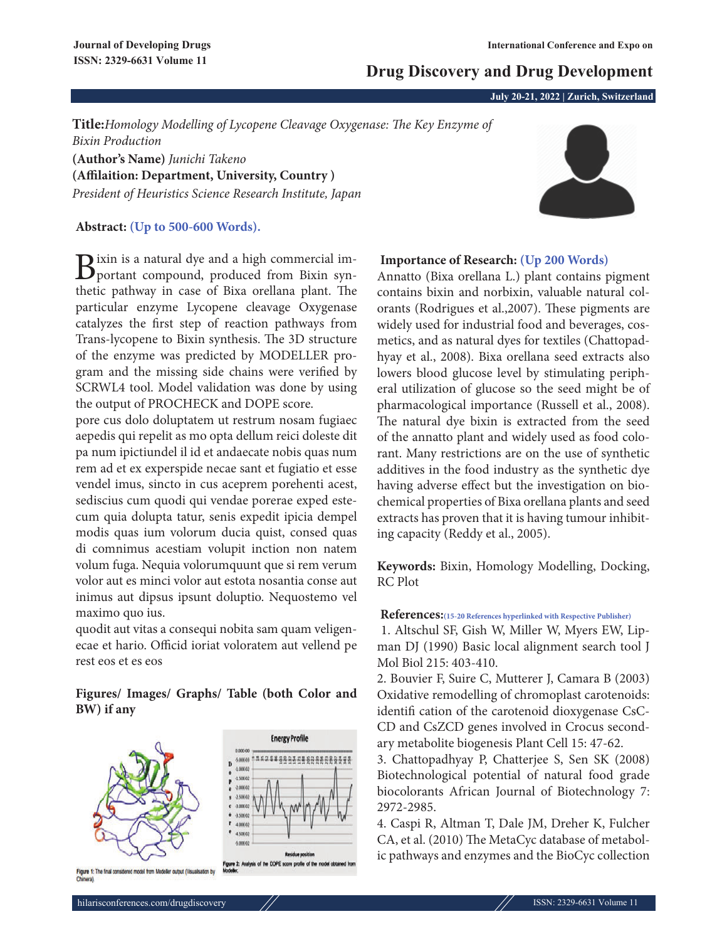# **Drug Discovery and Drug Development**

**July 20-21, 2022 | Zurich, Switzerland**

**Title:***Homology Modelling of Lycopene Cleavage Oxygenase: The Key Enzyme of Bixin Production* **(Author's Name)** *Junichi Takeno*

**(Affilaition: Department, University, Country )** *President of Heuristics Science Research Institute, Japan*

## **Abstract: (Up to 500-600 Words).**

Bixin is a natural dye and a high commercial im-<br>portant compound, produced from Bixin synthetic pathway in case of Bixa orellana plant. The particular enzyme Lycopene cleavage Oxygenase catalyzes the first step of reaction pathways from Trans-lycopene to Bixin synthesis. The 3D structure of the enzyme was predicted by MODELLER program and the missing side chains were verified by SCRWL4 tool. Model validation was done by using the output of PROCHECK and DOPE score.

pore cus dolo doluptatem ut restrum nosam fugiaec aepedis qui repelit as mo opta dellum reici doleste dit pa num ipictiundel il id et andaecate nobis quas num rem ad et ex experspide necae sant et fugiatio et esse vendel imus, sincto in cus aceprem porehenti acest, sediscius cum quodi qui vendae porerae exped estecum quia dolupta tatur, senis expedit ipicia dempel modis quas ium volorum ducia quist, consed quas di comnimus acestiam volupit inction non natem volum fuga. Nequia volorumquunt que si rem verum volor aut es minci volor aut estota nosantia conse aut inimus aut dipsus ipsunt doluptio. Nequostemo vel maximo quo ius.

quodit aut vitas a consequi nobita sam quam veligenecae et hario. Officid ioriat voloratem aut vellend pe rest eos et es eos

## **Figures/ Images/ Graphs/ Table (both Color and BW) if any**



## **Importance of Research: (Up 200 Words)**

Annatto (Bixa orellana L.) plant contains pigment contains bixin and norbixin, valuable natural colorants (Rodrigues et al.,2007). These pigments are widely used for industrial food and beverages, cosmetics, and as natural dyes for textiles (Chattopadhyay et al., 2008). Bixa orellana seed extracts also lowers blood glucose level by stimulating peripheral utilization of glucose so the seed might be of pharmacological importance (Russell et al., 2008). The natural dye bixin is extracted from the seed of the annatto plant and widely used as food colorant. Many restrictions are on the use of synthetic additives in the food industry as the synthetic dye having adverse effect but the investigation on biochemical properties of Bixa orellana plants and seed extracts has proven that it is having tumour inhibiting capacity (Reddy et al., 2005).

**Keywords:** Bixin, Homology Modelling, Docking, RC Plot

### **References:(15-20 References hyperlinked with Respective Publisher)**

1. Altschul SF, Gish W, Miller W, Myers EW, Lipman DJ (1990) Basic local alignment search tool J Mol Biol 215: 403-410.

2. Bouvier F, Suire C, Mutterer J, Camara B (2003) Oxidative remodelling of chromoplast carotenoids: identifi cation of the carotenoid dioxygenase CsC-CD and CsZCD genes involved in Crocus secondary metabolite biogenesis Plant Cell 15: 47-62.

3. Chattopadhyay P, Chatterjee S, Sen SK (2008) Biotechnological potential of natural food grade biocolorants African Journal of Biotechnology 7: 2972-2985.

4. Caspi R, Altman T, Dale JM, Dreher K, Fulcher CA, et al. (2010) The MetaCyc database of metabolic pathways and enzymes and the BioCyc collection